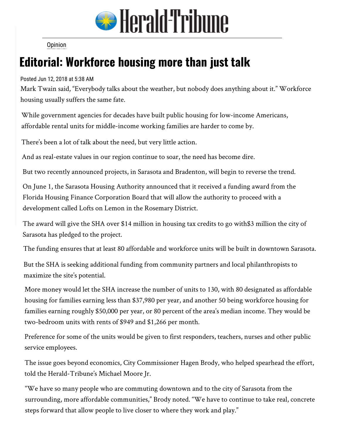

Opinion

## **Editori[al: Wo](http://www.heraldtribune.com/search?text=Opinion)rkforce housing more than just talk**

Posted Jun 12, 2018 at 5:38 AM

Mark Twain said, "Everybody talks about the weather, but nobody does anything about it." Workforce housing usually suffers the same fate.

While government agencies for decades have built public housing for low-income Americans, affordable rental units for middle-income working families are harder to come by.

There's been a lot of talk about the need, but very little action.

And as real-estate values in our region continue to soar, the need has become dire.

But two recently announced projects, in Sarasota and Bradenton, will begin to reverse the trend.

On June 1, the Sarasota Housing Authority announced that it received a funding award from the Florida Housing Finance Corporation Board that will allow the authority to proceed with a development called Lofts on Lemon in the Rosemary District.

The award will give the SHA over \$14 million in housing tax credits to go with\$3 million the city of Sarasota has pledged to the project.

The funding ensures that at least 80 affordable and workforce units will be built in downtown Sarasota.

But the SHA is seeking additional funding from community partners and local philanthropists to maximize the site's potential.

More money would let the SHA increase the number of units to 130, with 80 designated as affordable housing for families earning less than \$37,980 per year, and another 50 being workforce housing for families earning roughly \$50,000 per year, or 80 percent of the area's median income. They would be two-bedroom units with rents of \$949 and \$1,266 per month.

Preference for some of the units would be given to first responders, teachers, nurses and other public service employees.

The issue goes beyond economics, City Commissioner Hagen Brody, who helped spearhead the effort, told the Herald-Tribune's Michael Moore Jr.

"We have so many people who are commuting downtown and to the city of Sarasota from the surrounding, more affordable communities," Brody noted. "We have to continue to take real, concrete steps forward that allow people to live closer to where they work and play."